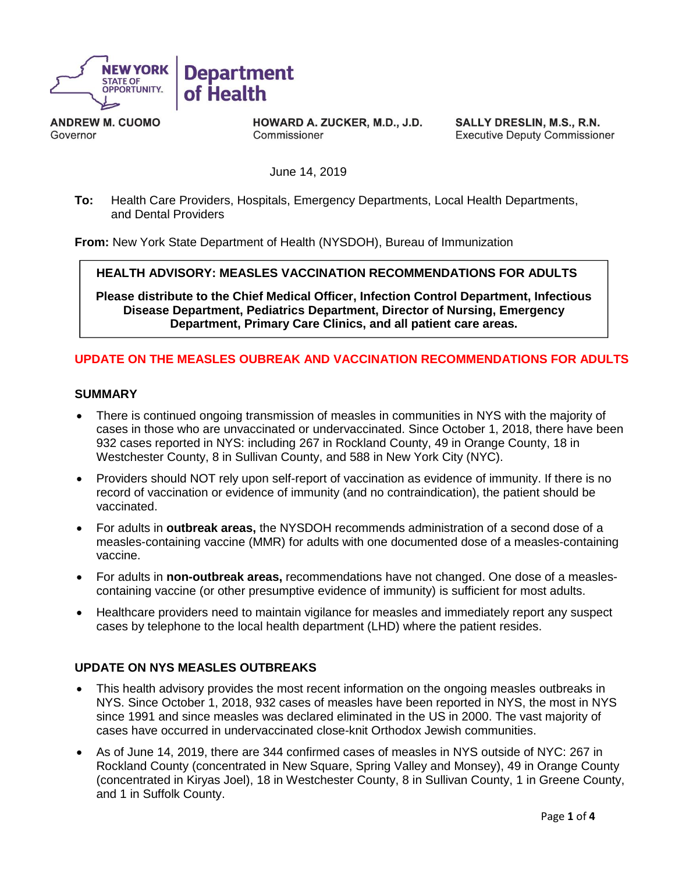

**ANDREW M. CUOMO** Governor

HOWARD A. ZUCKER, M.D., J.D. Commissioner

SALLY DRESLIN, M.S., R.N. **Executive Deputy Commissioner** 

June 14, 2019

**To:** Health Care Providers, Hospitals, Emergency Departments, Local Health Departments, and Dental Providers

**From:** New York State Department of Health (NYSDOH), Bureau of Immunization

 **HEALTH ADVISORY: MEASLES VACCINATION RECOMMENDATIONS FOR ADULTS**

**Please distribute to the Chief Medical Officer, Infection Control Department, Infectious Disease Department, Pediatrics Department, Director of Nursing, Emergency Department, Primary Care Clinics, and all patient care areas.**

# **UPDATE ON THE MEASLES OUBREAK AND VACCINATION RECOMMENDATIONS FOR ADULTS**

### **SUMMARY**

- There is continued ongoing transmission of measles in communities in NYS with the majority of cases in those who are unvaccinated or undervaccinated. Since October 1, 2018, there have been 932 cases reported in NYS: including 267 in Rockland County, 49 in Orange County, 18 in Westchester County, 8 in Sullivan County, and 588 in New York City (NYC).
- Providers should NOT rely upon self-report of vaccination as evidence of immunity. If there is no record of vaccination or evidence of immunity (and no contraindication), the patient should be vaccinated.
- For adults in **outbreak areas,** the NYSDOH recommends administration of a second dose of a measles-containing vaccine (MMR) for adults with one documented dose of a measles-containing vaccine.
- For adults in **non-outbreak areas,** recommendations have not changed. One dose of a measlescontaining vaccine (or other presumptive evidence of immunity) is sufficient for most adults.
- Healthcare providers need to maintain vigilance for measles and immediately report any suspect cases by telephone to the local health department (LHD) where the patient resides.

## **UPDATE ON NYS MEASLES OUTBREAKS**

- This health advisory provides the most recent information on the ongoing measles outbreaks in NYS. Since October 1, 2018, 932 cases of measles have been reported in NYS, the most in NYS since 1991 and since measles was declared eliminated in the US in 2000. The vast majority of cases have occurred in undervaccinated close-knit Orthodox Jewish communities.
- As of June 14, 2019, there are 344 confirmed cases of measles in NYS outside of NYC: 267 in Rockland County (concentrated in New Square, Spring Valley and Monsey), 49 in Orange County (concentrated in Kiryas Joel), 18 in Westchester County, 8 in Sullivan County, 1 in Greene County, and 1 in Suffolk County.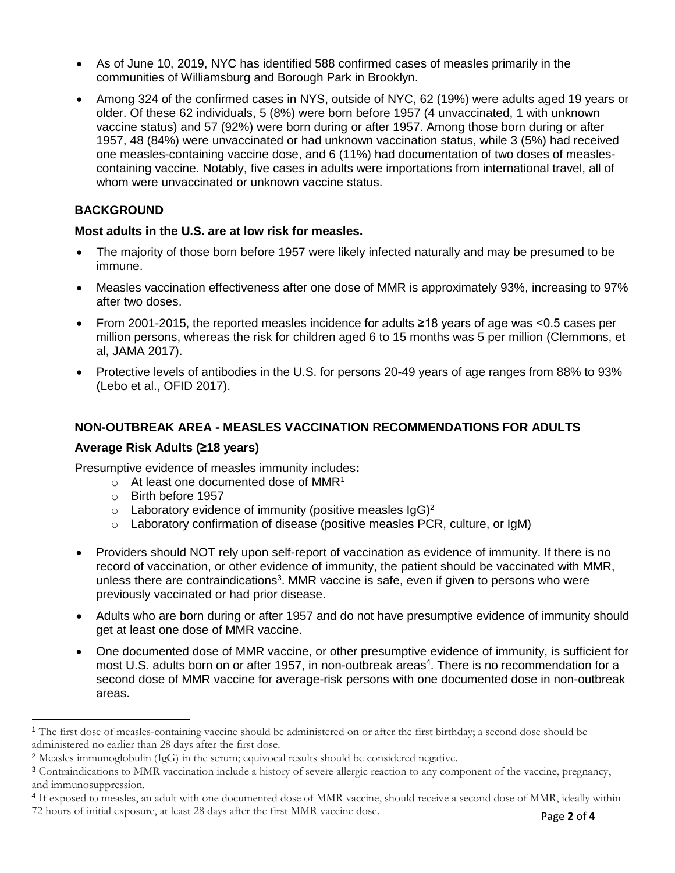- As of June 10, 2019, NYC has identified 588 confirmed cases of measles primarily in the communities of Williamsburg and Borough Park in Brooklyn.
- Among 324 of the confirmed cases in NYS, outside of NYC, 62 (19%) were adults aged 19 years or older. Of these 62 individuals, 5 (8%) were born before 1957 (4 unvaccinated, 1 with unknown vaccine status) and 57 (92%) were born during or after 1957. Among those born during or after 1957, 48 (84%) were unvaccinated or had unknown vaccination status, while 3 (5%) had received one measles-containing vaccine dose, and 6 (11%) had documentation of two doses of measlescontaining vaccine. Notably, five cases in adults were importations from international travel, all of whom were unvaccinated or unknown vaccine status.

# **BACKGROUND**

## **Most adults in the U.S. are at low risk for measles.**

- The majority of those born before 1957 were likely infected naturally and may be presumed to be immune.
- Measles vaccination effectiveness after one dose of MMR is approximately 93%, increasing to 97% after two doses.
- From 2001-2015, the reported measles incidence for adults ≥18 years of age was <0.5 cases per million persons, whereas the risk for children aged 6 to 15 months was 5 per million (Clemmons, et al, JAMA 2017).
- Protective levels of antibodies in the U.S. for persons 20-49 years of age ranges from 88% to 93% (Lebo et al., OFID 2017).

## **NON-OUTBREAK AREA - MEASLES VACCINATION RECOMMENDATIONS FOR ADULTS**

#### **Average Risk Adults (≥18 years)**

Presumptive evidence of measles immunity includes**:**

- $\circ$  At least one documented dose of MMR<sup>1</sup>
- o Birth before 1957

 $\overline{a}$ 

- $\circ$  Laboratory evidence of immunity (positive measles IgG)<sup>2</sup>
- $\circ$  Laboratory confirmation of disease (positive measles PCR, culture, or IgM)
- Providers should NOT rely upon self-report of vaccination as evidence of immunity. If there is no record of vaccination, or other evidence of immunity, the patient should be vaccinated with MMR, unless there are contraindications<sup>3</sup>. MMR vaccine is safe, even if given to persons who were previously vaccinated or had prior disease.
- Adults who are born during or after 1957 and do not have presumptive evidence of immunity should get at least one dose of MMR vaccine.
- One documented dose of MMR vaccine, or other presumptive evidence of immunity, is sufficient for most U.S. adults born on or after 1957, in non-outbreak areas<sup>4</sup>. There is no recommendation for a second dose of MMR vaccine for average-risk persons with one documented dose in non-outbreak areas.

<sup>&</sup>lt;sup>1</sup> The first dose of measles-containing vaccine should be administered on or after the first birthday; a second dose should be administered no earlier than 28 days after the first dose.

<sup>2</sup> Measles immunoglobulin (IgG) in the serum; equivocal results should be considered negative.

<sup>3</sup> Contraindications to MMR vaccination include a history of severe allergic reaction to any component of the vaccine, pregnancy, and immunosuppression.

<sup>&</sup>lt;sup>4</sup> If exposed to measles, an adult with one documented dose of MMR vaccine, should receive a second dose of MMR, ideally within 72 hours of initial exposure, at least 28 days after the first MMR vaccine dose.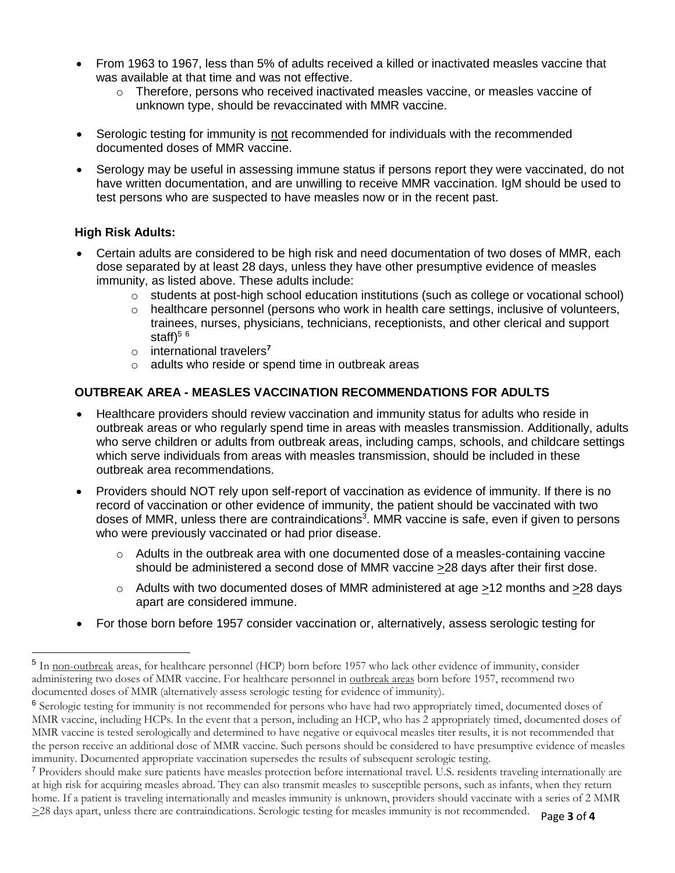- From 1963 to 1967, less than 5% of adults received a killed or inactivated measles vaccine that was available at that time and was not effective.
	- $\circ$  Therefore, persons who received inactivated measles vaccine, or measles vaccine of unknown type, should be revaccinated with MMR vaccine.
- Serologic testing for immunity is not recommended for individuals with the recommended documented doses of MMR vaccine.
- Serology may be useful in assessing immune status if persons report they were vaccinated, do not have written documentation, and are unwilling to receive MMR vaccination. IgM should be used to test persons who are suspected to have measles now or in the recent past.

# **High Risk Adults:**

 $\overline{a}$ 

- Certain adults are considered to be high risk and need documentation of two doses of MMR, each dose separated by at least 28 days, unless they have other presumptive evidence of measles immunity, as listed above. These adults include:
	- $\circ$  students at post-high school education institutions (such as college or vocational school)
	- o healthcare personnel (persons who work in health care settings, inclusive of volunteers, trainees, nurses, physicians, technicians, receptionists, and other clerical and support staff $)^{56}$
	- o international travelers**<sup>7</sup>**
	- o adults who reside or spend time in outbreak areas

# **OUTBREAK AREA - MEASLES VACCINATION RECOMMENDATIONS FOR ADULTS**

- Healthcare providers should review vaccination and immunity status for adults who reside in outbreak areas or who regularly spend time in areas with measles transmission. Additionally, adults who serve children or adults from outbreak areas, including camps, schools, and childcare settings which serve individuals from areas with measles transmission, should be included in these outbreak area recommendations.
- Providers should NOT rely upon self-report of vaccination as evidence of immunity. If there is no record of vaccination or other evidence of immunity, the patient should be vaccinated with two doses of MMR, unless there are contraindications<sup>3</sup>. MMR vaccine is safe, even if given to persons who were previously vaccinated or had prior disease.
	- $\circ$  Adults in the outbreak area with one documented dose of a measles-containing vaccine should be administered a second dose of MMR vaccine  $\geq$ 28 days after their first dose.
	- o Adults with two documented doses of MMR administered at age >12 months and >28 days apart are considered immune.
- For those born before 1957 consider vaccination or, alternatively, assess serologic testing for

<sup>&</sup>lt;sup>5</sup> In non-outbreak areas, for healthcare personnel (HCP) born before 1957 who lack other evidence of immunity, consider administering two doses of MMR vaccine. For healthcare personnel in outbreak areas born before 1957, recommend two documented doses of MMR (alternatively assess serologic testing for evidence of immunity).

<sup>&</sup>lt;sup>6</sup> Serologic testing for immunity is not recommended for persons who have had two appropriately timed, documented doses of MMR vaccine, including HCPs. In the event that a person, including an HCP, who has 2 appropriately timed, documented doses of MMR vaccine is tested serologically and determined to have negative or equivocal measles titer results, it is not recommended that the person receive an additional dose of MMR vaccine. Such persons should be considered to have presumptive evidence of measles immunity. Documented appropriate vaccination supersedes the results of subsequent serologic testing.

<sup>7</sup> Providers should make sure patients have measles protection before international travel. U.S. residents traveling internationally are at high risk for acquiring measles abroad. They can also transmit measles to susceptible persons, such as infants, when they return home. If a patient is traveling internationally and measles immunity is unknown, providers should vaccinate with a series of 2 MMR >28 days apart, unless there are contraindications. Serologic testing for measles immunity is not recommended.